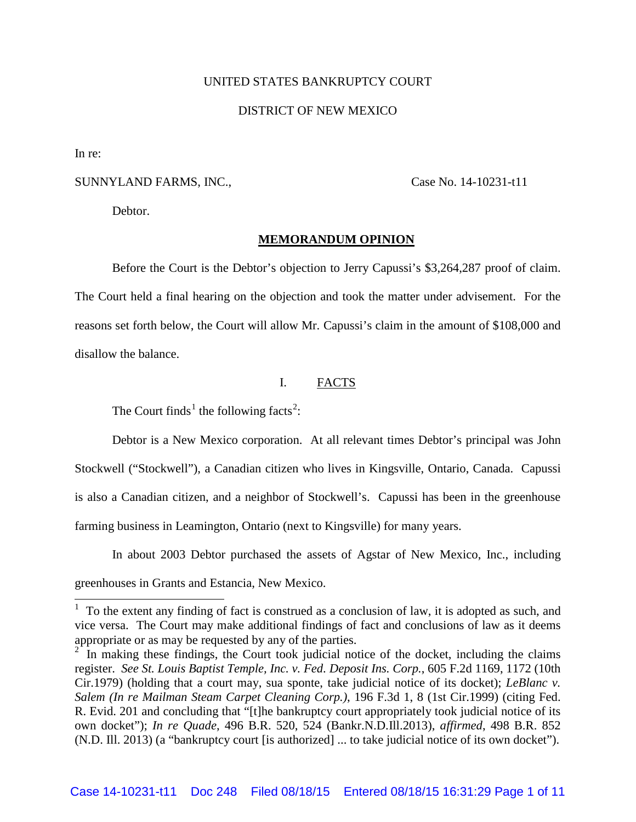# UNITED STATES BANKRUPTCY COURT

## DISTRICT OF NEW MEXICO

In re:

 $\overline{a}$ 

# SUNNYLAND FARMS, INC., Case No. 14-10231-t11

Debtor.

#### **MEMORANDUM OPINION**

Before the Court is the Debtor's objection to Jerry Capussi's \$3,264,287 proof of claim. The Court held a final hearing on the objection and took the matter under advisement. For the reasons set forth below, the Court will allow Mr. Capussi's claim in the amount of \$108,000 and disallow the balance.

# I. FACTS

The Court finds<sup>[1](#page-0-0)</sup> the following facts<sup>[2](#page-0-1)</sup>:

Debtor is a New Mexico corporation. At all relevant times Debtor's principal was John Stockwell ("Stockwell"), a Canadian citizen who lives in Kingsville, Ontario, Canada. Capussi is also a Canadian citizen, and a neighbor of Stockwell's. Capussi has been in the greenhouse farming business in Leamington, Ontario (next to Kingsville) for many years.

In about 2003 Debtor purchased the assets of Agstar of New Mexico, Inc., including greenhouses in Grants and Estancia, New Mexico.

<span id="page-0-0"></span> $1$  To the extent any finding of fact is construed as a conclusion of law, it is adopted as such, and vice versa. The Court may make additional findings of fact and conclusions of law as it deems appropriate or as may be requested by any of the parties.

<span id="page-0-1"></span><sup>2</sup> In making these findings, the Court took judicial notice of the docket, including the claims register. *See St. Louis Baptist Temple, Inc. v. Fed. Deposit Ins. Corp.*, 605 F.2d 1169, 1172 (10th Cir.1979) (holding that a court may, sua sponte, take judicial notice of its docket); *LeBlanc v. Salem (In re Mailman Steam Carpet Cleaning Corp.)*, 196 F.3d 1, 8 (1st Cir.1999) (citing Fed. R. Evid. 201 and concluding that "[t]he bankruptcy court appropriately took judicial notice of its own docket"); *In re Quade*, 496 B.R. 520, 524 (Bankr.N.D.Ill.2013), *affirmed*, 498 B.R. 852 (N.D. Ill. 2013) (a "bankruptcy court [is authorized] ... to take judicial notice of its own docket").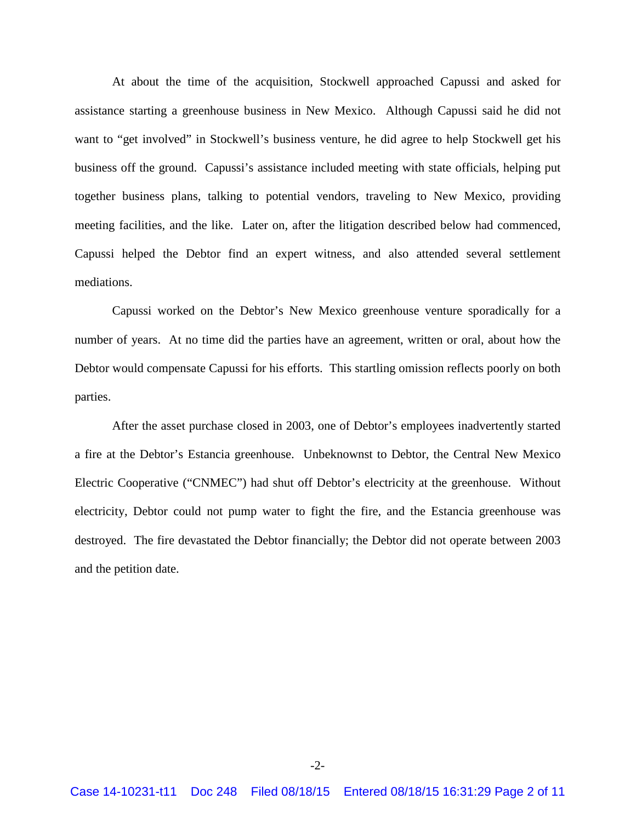At about the time of the acquisition, Stockwell approached Capussi and asked for assistance starting a greenhouse business in New Mexico. Although Capussi said he did not want to "get involved" in Stockwell's business venture, he did agree to help Stockwell get his business off the ground. Capussi's assistance included meeting with state officials, helping put together business plans, talking to potential vendors, traveling to New Mexico, providing meeting facilities, and the like. Later on, after the litigation described below had commenced, Capussi helped the Debtor find an expert witness, and also attended several settlement mediations.

Capussi worked on the Debtor's New Mexico greenhouse venture sporadically for a number of years. At no time did the parties have an agreement, written or oral, about how the Debtor would compensate Capussi for his efforts. This startling omission reflects poorly on both parties.

After the asset purchase closed in 2003, one of Debtor's employees inadvertently started a fire at the Debtor's Estancia greenhouse. Unbeknownst to Debtor, the Central New Mexico Electric Cooperative ("CNMEC") had shut off Debtor's electricity at the greenhouse. Without electricity, Debtor could not pump water to fight the fire, and the Estancia greenhouse was destroyed. The fire devastated the Debtor financially; the Debtor did not operate between 2003 and the petition date.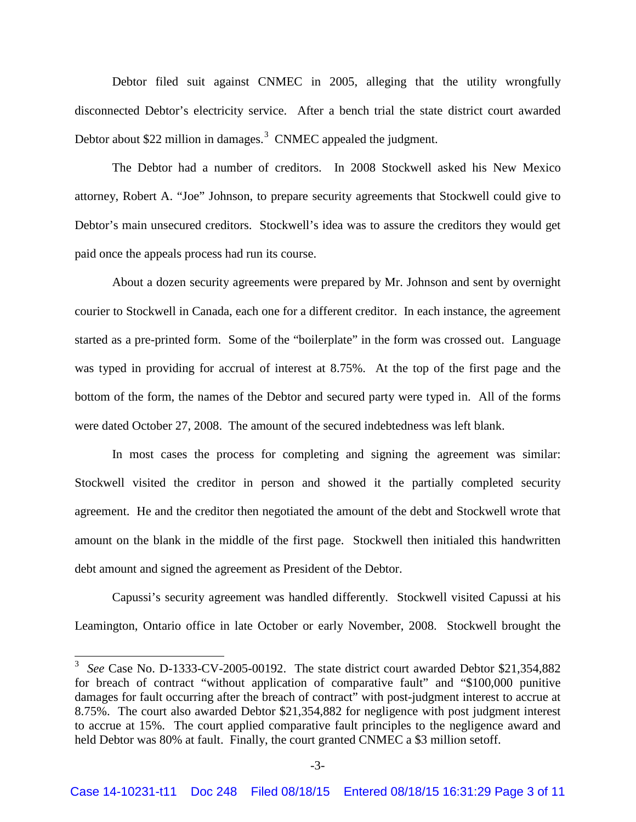Debtor filed suit against CNMEC in 2005, alleging that the utility wrongfully disconnected Debtor's electricity service. After a bench trial the state district court awarded Debtor about \$22 million in damages.<sup>[3](#page-2-0)</sup> CNMEC appealed the judgment.

The Debtor had a number of creditors. In 2008 Stockwell asked his New Mexico attorney, Robert A. "Joe" Johnson, to prepare security agreements that Stockwell could give to Debtor's main unsecured creditors. Stockwell's idea was to assure the creditors they would get paid once the appeals process had run its course.

About a dozen security agreements were prepared by Mr. Johnson and sent by overnight courier to Stockwell in Canada, each one for a different creditor. In each instance, the agreement started as a pre-printed form. Some of the "boilerplate" in the form was crossed out. Language was typed in providing for accrual of interest at 8.75%. At the top of the first page and the bottom of the form, the names of the Debtor and secured party were typed in. All of the forms were dated October 27, 2008. The amount of the secured indebtedness was left blank.

In most cases the process for completing and signing the agreement was similar: Stockwell visited the creditor in person and showed it the partially completed security agreement. He and the creditor then negotiated the amount of the debt and Stockwell wrote that amount on the blank in the middle of the first page. Stockwell then initialed this handwritten debt amount and signed the agreement as President of the Debtor.

Capussi's security agreement was handled differently. Stockwell visited Capussi at his Leamington, Ontario office in late October or early November, 2008. Stockwell brought the

 $\overline{a}$ 

<span id="page-2-0"></span><sup>3</sup> *See* Case No. D-1333-CV-2005-00192. The state district court awarded Debtor \$21,354,882 for breach of contract "without application of comparative fault" and "\$100,000 punitive damages for fault occurring after the breach of contract" with post-judgment interest to accrue at 8.75%. The court also awarded Debtor \$21,354,882 for negligence with post judgment interest to accrue at 15%. The court applied comparative fault principles to the negligence award and held Debtor was 80% at fault. Finally, the court granted CNMEC a \$3 million setoff.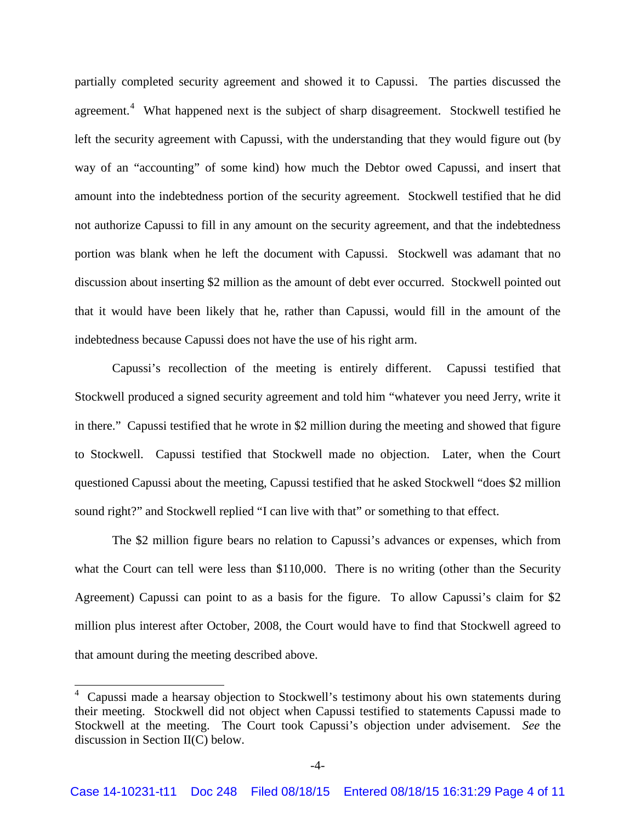partially completed security agreement and showed it to Capussi. The parties discussed the agreement.<sup>[4](#page-3-0)</sup> What happened next is the subject of sharp disagreement. Stockwell testified he left the security agreement with Capussi, with the understanding that they would figure out (by way of an "accounting" of some kind) how much the Debtor owed Capussi, and insert that amount into the indebtedness portion of the security agreement. Stockwell testified that he did not authorize Capussi to fill in any amount on the security agreement, and that the indebtedness portion was blank when he left the document with Capussi. Stockwell was adamant that no discussion about inserting \$2 million as the amount of debt ever occurred. Stockwell pointed out that it would have been likely that he, rather than Capussi, would fill in the amount of the indebtedness because Capussi does not have the use of his right arm.

Capussi's recollection of the meeting is entirely different. Capussi testified that Stockwell produced a signed security agreement and told him "whatever you need Jerry, write it in there." Capussi testified that he wrote in \$2 million during the meeting and showed that figure to Stockwell. Capussi testified that Stockwell made no objection. Later, when the Court questioned Capussi about the meeting, Capussi testified that he asked Stockwell "does \$2 million sound right?" and Stockwell replied "I can live with that" or something to that effect.

The \$2 million figure bears no relation to Capussi's advances or expenses, which from what the Court can tell were less than \$110,000. There is no writing (other than the Security Agreement) Capussi can point to as a basis for the figure. To allow Capussi's claim for \$2 million plus interest after October, 2008, the Court would have to find that Stockwell agreed to that amount during the meeting described above.

 $\overline{a}$ 

<span id="page-3-0"></span><sup>4</sup> Capussi made a hearsay objection to Stockwell's testimony about his own statements during their meeting. Stockwell did not object when Capussi testified to statements Capussi made to Stockwell at the meeting. The Court took Capussi's objection under advisement. *See* the discussion in Section II(C) below.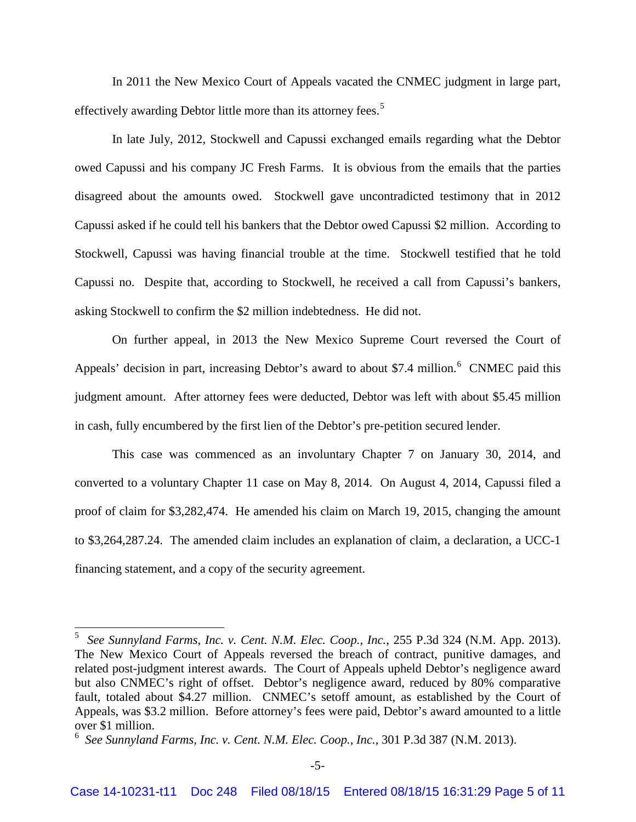In 2011 the New Mexico Court of Appeals vacated the CNMEC judgment in large part, effectively awarding Debtor little more than its attorney fees.<sup>[5](#page-4-0)</sup>

In late July, 2012, Stockwell and Capussi exchanged emails regarding what the Debtor owed Capussi and his company JC Fresh Farms. It is obvious from the emails that the parties disagreed about the amounts owed. Stockwell gave uncontradicted testimony that in 2012 Capussi asked if he could tell his bankers that the Debtor owed Capussi \$2 million. According to Stockwell, Capussi was having financial trouble at the time. Stockwell testified that he told Capussi no. Despite that, according to Stockwell, he received a call from Capussi's bankers, asking Stockwell to confirm the \$2 million indebtedness. He did not.

On further appeal, in 2013 the New Mexico Supreme Court reversed the Court of Appeals' decision in part, increasing Debtor's award to about \$7.4 million.<sup>[6](#page-4-1)</sup> CNMEC paid this judgment amount. After attorney fees were deducted, Debtor was left with about \$5.45 million in cash, fully encumbered by the first lien of the Debtor's pre-petition secured lender.

This case was commenced as an involuntary Chapter 7 on January 30, 2014, and converted to a voluntary Chapter 11 case on May 8, 2014. On August 4, 2014, Capussi filed a proof of claim for \$3,282,474. He amended his claim on March 19, 2015, changing the amount to \$3,264,287.24. The amended claim includes an explanation of claim, a declaration, a UCC-1 financing statement, and a copy of the security agreement.

 $\overline{a}$ 

<span id="page-4-0"></span><sup>5</sup> *See Sunnyland Farms, Inc. v. Cent. N.M. Elec. Coop., Inc.*, 255 P.3d 324 (N.M. App. 2013). The New Mexico Court of Appeals reversed the breach of contract, punitive damages, and related post-judgment interest awards. The Court of Appeals upheld Debtor's negligence award but also CNMEC's right of offset. Debtor's negligence award, reduced by 80% comparative fault, totaled about \$4.27 million. CNMEC's setoff amount, as established by the Court of Appeals, was \$3.2 million. Before attorney's fees were paid, Debtor's award amounted to a little over \$1 million.

<span id="page-4-1"></span><sup>6</sup> *See Sunnyland Farms, Inc. v. Cent. N.M. Elec. Coop., Inc.*, 301 P.3d 387 (N.M. 2013).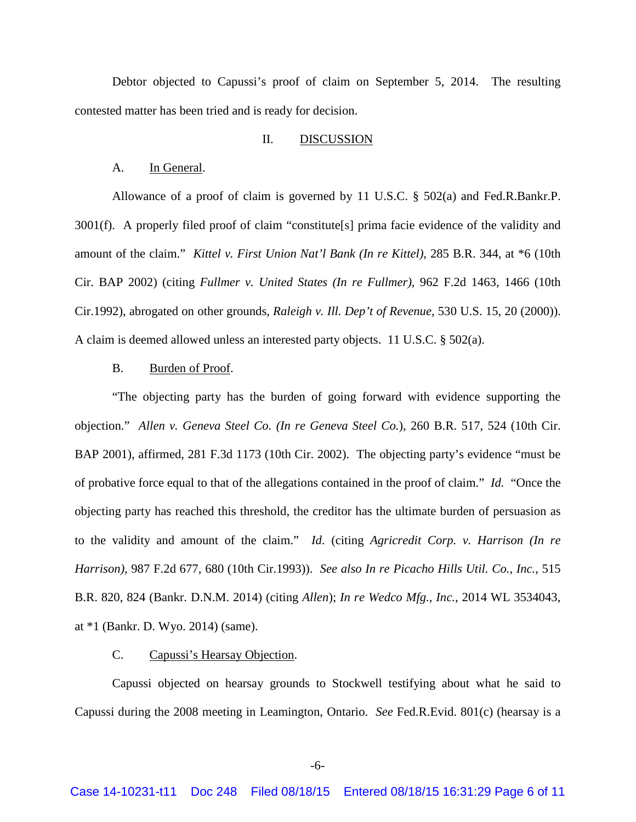Debtor objected to Capussi's proof of claim on September 5, 2014. The resulting contested matter has been tried and is ready for decision.

## II. DISCUSSION

#### A. In General.

Allowance of a proof of claim is governed by 11 U.S.C. § 502(a) and Fed.R.Bankr.P. 3001(f). A properly filed proof of claim "constitute[s] prima facie evidence of the validity and amount of the claim." *Kittel v. First Union Nat'l Bank (In re Kittel)*, 285 B.R. 344, at \*6 (10th Cir. BAP 2002) (citing *Fullmer v. United States (In re Fullmer)*, 962 F.2d 1463, 1466 (10th Cir.1992), abrogated on other grounds, *Raleigh v. Ill. Dep't of Revenue*, 530 U.S. 15, 20 (2000)). A claim is deemed allowed unless an interested party objects. 11 U.S.C. § 502(a).

## B. Burden of Proof.

"The objecting party has the burden of going forward with evidence supporting the objection." *Allen v. Geneva Steel Co. (In re Geneva Steel Co.*), 260 B.R. 517, 524 (10th Cir. BAP 2001), affirmed, 281 F.3d 1173 (10th Cir. 2002). The objecting party's evidence "must be of probative force equal to that of the allegations contained in the proof of claim." *Id.* "Once the objecting party has reached this threshold, the creditor has the ultimate burden of persuasion as to the validity and amount of the claim." *Id.* (citing *Agricredit Corp. v. Harrison (In re Harrison)*, 987 F.2d 677, 680 (10th Cir.1993)). *See also In re Picacho Hills Util. Co., Inc.*, 515 B.R. 820, 824 (Bankr. D.N.M. 2014) (citing *Allen*); *In re Wedco Mfg., Inc.*, 2014 WL 3534043, at \*1 (Bankr. D. Wyo. 2014) (same).

#### C. Capussi's Hearsay Objection.

Capussi objected on hearsay grounds to Stockwell testifying about what he said to Capussi during the 2008 meeting in Leamington, Ontario. *See* Fed.R.Evid. 801(c) (hearsay is a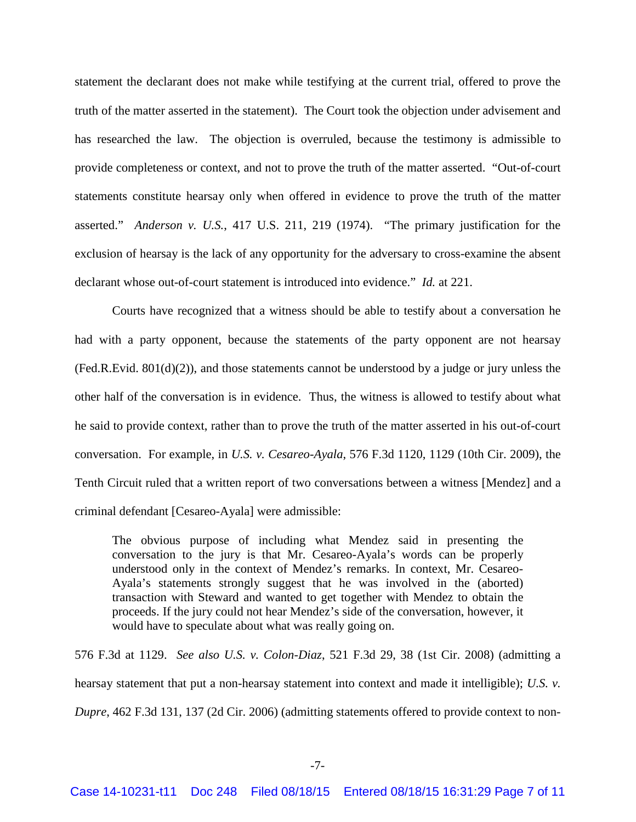statement the declarant does not make while testifying at the current trial, offered to prove the truth of the matter asserted in the statement). The Court took the objection under advisement and has researched the law. The objection is overruled, because the testimony is admissible to provide completeness or context, and not to prove the truth of the matter asserted. "Out-of-court statements constitute hearsay only when offered in evidence to prove the truth of the matter asserted." *Anderson v. U.S.*, 417 U.S. 211, 219 (1974). "The primary justification for the exclusion of hearsay is the lack of any opportunity for the adversary to cross-examine the absent declarant whose out-of-court statement is introduced into evidence." *Id.* at 221.

Courts have recognized that a witness should be able to testify about a conversation he had with a party opponent, because the statements of the party opponent are not hearsay (Fed.R.Evid. 801(d)(2)), and those statements cannot be understood by a judge or jury unless the other half of the conversation is in evidence. Thus, the witness is allowed to testify about what he said to provide context, rather than to prove the truth of the matter asserted in his out-of-court conversation. For example, in *U.S. v. Cesareo-Ayala*, 576 F.3d 1120, 1129 (10th Cir. 2009), the Tenth Circuit ruled that a written report of two conversations between a witness [Mendez] and a criminal defendant [Cesareo-Ayala] were admissible:

The obvious purpose of including what Mendez said in presenting the conversation to the jury is that Mr. Cesareo-Ayala's words can be properly understood only in the context of Mendez's remarks. In context, Mr. Cesareo-Ayala's statements strongly suggest that he was involved in the (aborted) transaction with Steward and wanted to get together with Mendez to obtain the proceeds. If the jury could not hear Mendez's side of the conversation, however, it would have to speculate about what was really going on.

576 F.3d at 1129. *See also U.S. v. Colon-Diaz*, 521 F.3d 29, 38 (1st Cir. 2008) (admitting a hearsay statement that put a non-hearsay statement into context and made it intelligible); *U.S. v. Dupre*, 462 F.3d 131, 137 (2d Cir. 2006) (admitting statements offered to provide context to non-

-7-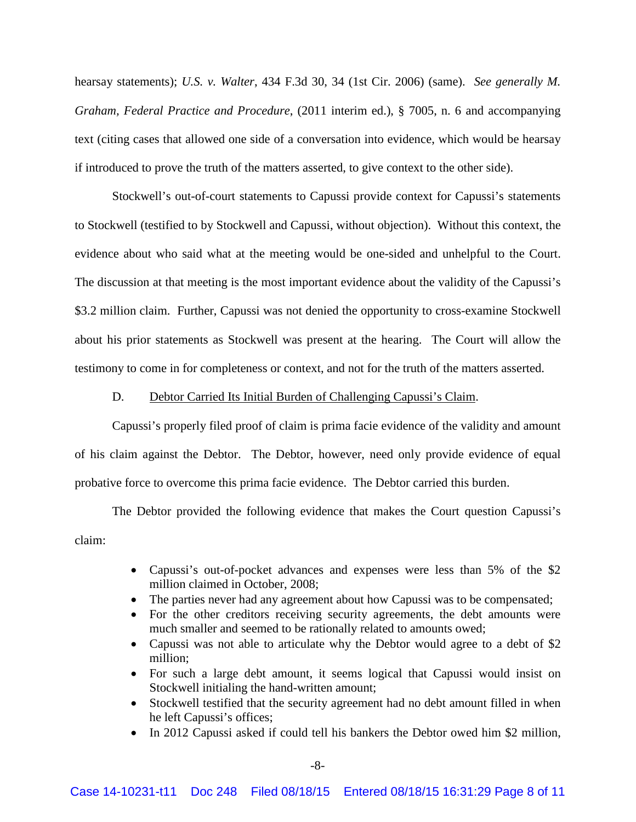hearsay statements); *U.S. v. Walter*, 434 F.3d 30, 34 (1st Cir. 2006) (same). *See generally M. Graham, Federal Practice and Procedure*, (2011 interim ed.), § 7005, n. 6 and accompanying text (citing cases that allowed one side of a conversation into evidence, which would be hearsay if introduced to prove the truth of the matters asserted, to give context to the other side).

Stockwell's out-of-court statements to Capussi provide context for Capussi's statements to Stockwell (testified to by Stockwell and Capussi, without objection). Without this context, the evidence about who said what at the meeting would be one-sided and unhelpful to the Court. The discussion at that meeting is the most important evidence about the validity of the Capussi's \$3.2 million claim. Further, Capussi was not denied the opportunity to cross-examine Stockwell about his prior statements as Stockwell was present at the hearing. The Court will allow the testimony to come in for completeness or context, and not for the truth of the matters asserted.

## D. Debtor Carried Its Initial Burden of Challenging Capussi's Claim.

Capussi's properly filed proof of claim is prima facie evidence of the validity and amount of his claim against the Debtor. The Debtor, however, need only provide evidence of equal probative force to overcome this prima facie evidence. The Debtor carried this burden.

The Debtor provided the following evidence that makes the Court question Capussi's claim:

- Capussi's out-of-pocket advances and expenses were less than 5% of the \$2 million claimed in October, 2008;
- The parties never had any agreement about how Capussi was to be compensated;
- For the other creditors receiving security agreements, the debt amounts were much smaller and seemed to be rationally related to amounts owed;
- Capussi was not able to articulate why the Debtor would agree to a debt of \$2 million;
- For such a large debt amount, it seems logical that Capussi would insist on Stockwell initialing the hand-written amount;
- Stockwell testified that the security agreement had no debt amount filled in when he left Capussi's offices;
- In 2012 Capussi asked if could tell his bankers the Debtor owed him \$2 million,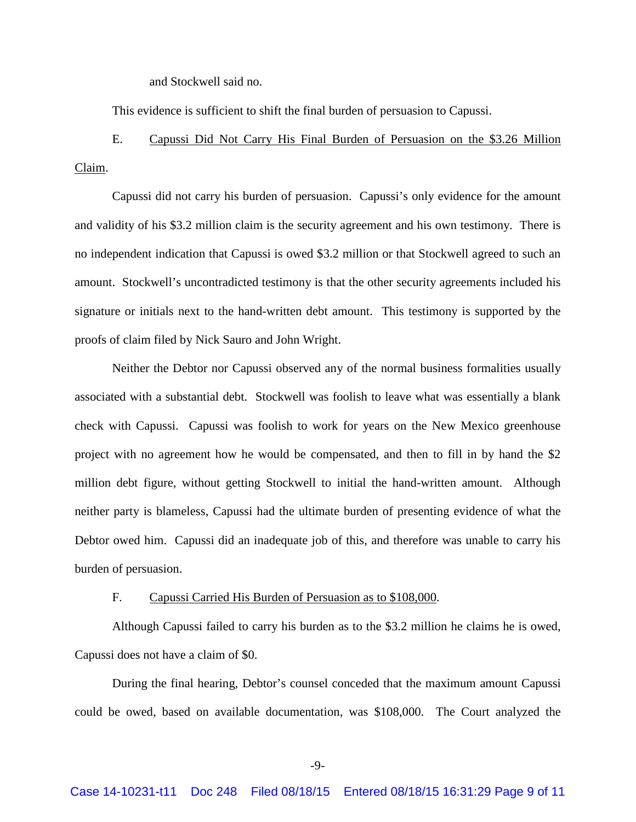and Stockwell said no.

This evidence is sufficient to shift the final burden of persuasion to Capussi.

E. Capussi Did Not Carry His Final Burden of Persuasion on the \$3.26 Million Claim.

Capussi did not carry his burden of persuasion. Capussi's only evidence for the amount and validity of his \$3.2 million claim is the security agreement and his own testimony. There is no independent indication that Capussi is owed \$3.2 million or that Stockwell agreed to such an amount. Stockwell's uncontradicted testimony is that the other security agreements included his signature or initials next to the hand-written debt amount. This testimony is supported by the proofs of claim filed by Nick Sauro and John Wright.

Neither the Debtor nor Capussi observed any of the normal business formalities usually associated with a substantial debt. Stockwell was foolish to leave what was essentially a blank check with Capussi. Capussi was foolish to work for years on the New Mexico greenhouse project with no agreement how he would be compensated, and then to fill in by hand the \$2 million debt figure, without getting Stockwell to initial the hand-written amount. Although neither party is blameless, Capussi had the ultimate burden of presenting evidence of what the Debtor owed him. Capussi did an inadequate job of this, and therefore was unable to carry his burden of persuasion.

## F. Capussi Carried His Burden of Persuasion as to \$108,000.

Although Capussi failed to carry his burden as to the \$3.2 million he claims he is owed, Capussi does not have a claim of \$0.

During the final hearing, Debtor's counsel conceded that the maximum amount Capussi could be owed, based on available documentation, was \$108,000. The Court analyzed the

-9-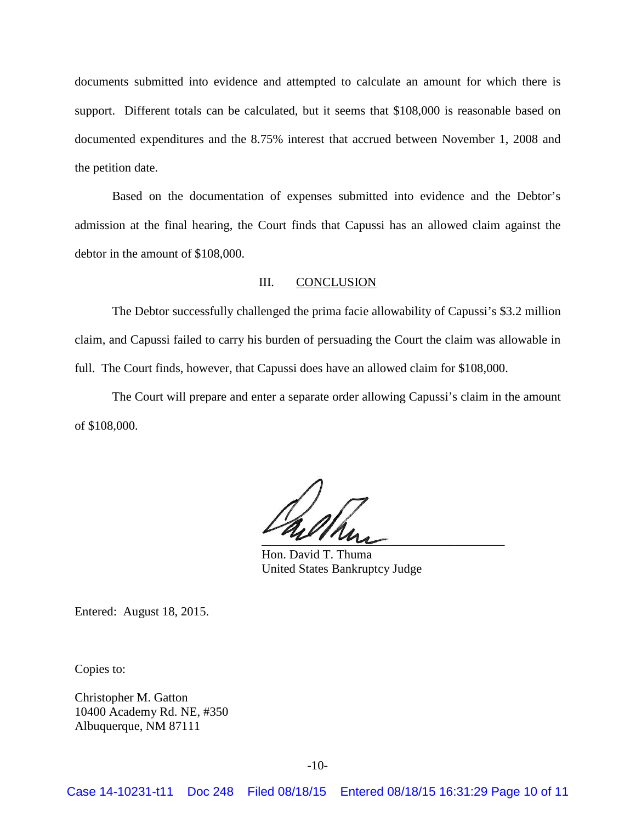documents submitted into evidence and attempted to calculate an amount for which there is support. Different totals can be calculated, but it seems that \$108,000 is reasonable based on documented expenditures and the 8.75% interest that accrued between November 1, 2008 and the petition date.

Based on the documentation of expenses submitted into evidence and the Debtor's admission at the final hearing, the Court finds that Capussi has an allowed claim against the debtor in the amount of \$108,000.

# III. CONCLUSION

The Debtor successfully challenged the prima facie allowability of Capussi's \$3.2 million claim, and Capussi failed to carry his burden of persuading the Court the claim was allowable in full. The Court finds, however, that Capussi does have an allowed claim for \$108,000.

The Court will prepare and enter a separate order allowing Capussi's claim in the amount of \$108,000.

 $\overline{\phantom{a}}$ 

Hon. David T. Thuma United States Bankruptcy Judge

Entered: August 18, 2015.

Copies to:

Christopher M. Gatton 10400 Academy Rd. NE, #350 Albuquerque, NM 87111